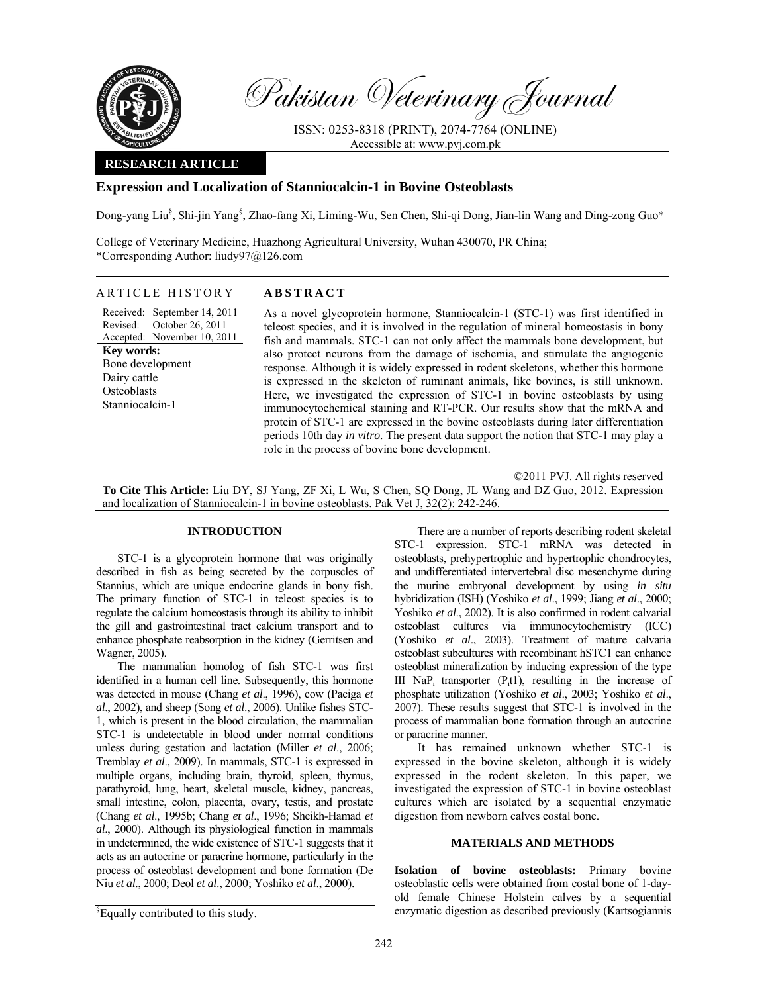

Pakistan Veterinary Journal

ISSN: 0253-8318 (PRINT), 2074-7764 (ONLINE) Accessible at: www.pvj.com.pk

### **RESEARCH ARTICLE**

## **Expression and Localization of Stanniocalcin-1 in Bovine Osteoblasts**

Dong-yang Liu<sup>§</sup>, Shi-jin Yang<sup>§</sup>, Zhao-fang Xi, Liming-Wu, Sen Chen, Shi-qi Dong, Jian-lin Wang and Ding-zong Guo\*

College of Veterinary Medicine, Huazhong Agricultural University, Wuhan 430070, PR China; \*Corresponding Author: liudy97@126.com

# ARTICLE HISTORY **ABSTRACT**

Received: September 14, 2011 Revised: Accepted: November 10, 2011 October 26, 2011 **Key words:**  Bone development Dairy cattle **Osteoblasts** Stanniocalcin-1

As a novel glycoprotein hormone, Stanniocalcin-1 (STC-1) was first identified in teleost species, and it is involved in the regulation of mineral homeostasis in bony fish and mammals. STC-1 can not only affect the mammals bone development, but also protect neurons from the damage of ischemia, and stimulate the angiogenic response. Although it is widely expressed in rodent skeletons, whether this hormone is expressed in the skeleton of ruminant animals, like bovines, is still unknown. Here, we investigated the expression of STC-1 in bovine osteoblasts by using immunocytochemical staining and RT-PCR. Our results show that the mRNA and protein of STC-1 are expressed in the bovine osteoblasts during later differentiation periods 10th day *in vitro*. The present data support the notion that STC-1 may play a role in the process of bovine bone development.

©2011 PVJ. All rights reserved

**To Cite This Article:** Liu DY, SJ Yang, ZF Xi, L Wu, S Chen, SQ Dong, JL Wang and DZ Guo, 2012. Expression and localization of Stanniocalcin-1 in bovine osteoblasts. Pak Vet J, 32(2): 242-246.

### **INTRODUCTION**

STC-1 is a glycoprotein hormone that was originally described in fish as being secreted by the corpuscles of Stannius, which are unique endocrine glands in bony fish. The primary function of STC-1 in teleost species is to regulate the calcium homeostasis through its ability to inhibit the gill and gastrointestinal tract calcium transport and to enhance phosphate reabsorption in the kidney (Gerritsen and Wagner, 2005).

The mammalian homolog of fish STC-1 was first identified in a human cell line. Subsequently, this hormone was detected in mouse (Chang *et al*., 1996), cow (Paciga *et al*., 2002), and sheep (Song *et al*., 2006). Unlike fishes STC-1, which is present in the blood circulation, the mammalian STC-1 is undetectable in blood under normal conditions unless during gestation and lactation (Miller *et al*., 2006; Tremblay *et al*., 2009). In mammals, STC-1 is expressed in multiple organs, including brain, thyroid, spleen, thymus, parathyroid, lung, heart, skeletal muscle, kidney, pancreas, small intestine, colon, placenta, ovary, testis, and prostate (Chang *et al*., 1995b; Chang *et al*., 1996; Sheikh-Hamad *et al*., 2000). Although its physiological function in mammals in undetermined, the wide existence of STC-1 suggests that it acts as an autocrine or paracrine hormone, particularly in the process of osteoblast development and bone formation (De Niu *et al*., 2000; Deol *et al*., 2000; Yoshiko *et al*., 2000).

There are a number of reports describing rodent skeletal STC-1 expression. STC-1 mRNA was detected in osteoblasts, prehypertrophic and hypertrophic chondrocytes, and undifferentiated intervertebral disc mesenchyme during the murine embryonal development by using *in situ* hybridization (ISH) (Yoshiko *et al*., 1999; Jiang *et al*., 2000; Yoshiko *et al*., 2002). It is also confirmed in rodent calvarial osteoblast cultures via immunocytochemistry (ICC) (Yoshiko *et al*., 2003). Treatment of mature calvaria osteoblast subcultures with recombinant hSTC1 can enhance osteoblast mineralization by inducing expression of the type III NaP<sub>i</sub> transporter  $(P<sub>i</sub>t1)$ , resulting in the increase of phosphate utilization (Yoshiko *et al*., 2003; Yoshiko *et al*., 2007). These results suggest that STC-1 is involved in the process of mammalian bone formation through an autocrine or paracrine manner.

It has remained unknown whether STC-1 is expressed in the bovine skeleton, although it is widely expressed in the rodent skeleton. In this paper, we investigated the expression of STC-1 in bovine osteoblast cultures which are isolated by a sequential enzymatic digestion from newborn calves costal bone.

### **MATERIALS AND METHODS**

**Isolation of bovine osteoblasts:** Primary bovine osteoblastic cells were obtained from costal bone of 1-dayold female Chinese Holstein calves by a sequential enzymatic digestion as described previously (Kartsogiannis

 $$$ Equally contributed to this study.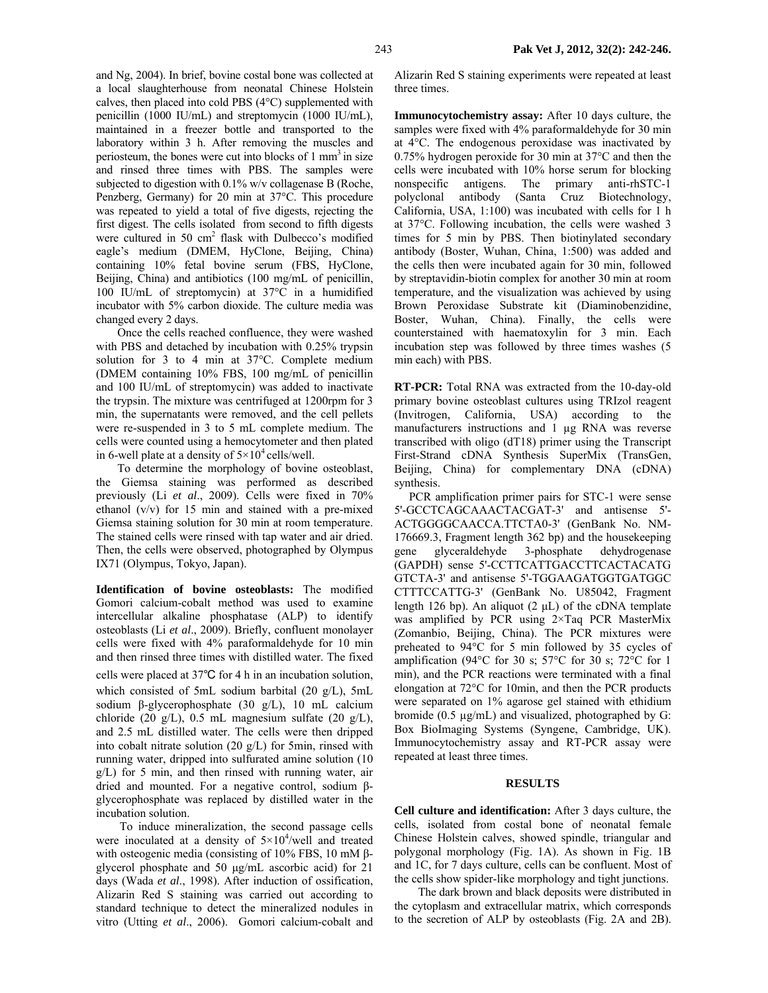three times.

and Ng, 2004). In brief, bovine costal bone was collected at a local slaughterhouse from neonatal Chinese Holstein calves, then placed into cold PBS (4°C) supplemented with penicillin (1000 IU/mL) and streptomycin (1000 IU/mL), maintained in a freezer bottle and transported to the laboratory within 3 h. After removing the muscles and periosteum, the bones were cut into blocks of  $1 \text{ mm}^3$  in size and rinsed three times with PBS. The samples were subjected to digestion with 0.1% w/v collagenase B (Roche, Penzberg, Germany) for 20 min at 37°C. This procedure was repeated to yield a total of five digests, rejecting the first digest. The cells isolated from second to fifth digests were cultured in 50 cm<sup>2</sup> flask with Dulbecco's modified eagle's medium (DMEM, HyClone, Beijing, China) containing 10% fetal bovine serum (FBS, HyClone, Beijing, China) and antibiotics (100 mg/mL of penicillin, 100 IU/mL of streptomycin) at 37°C in a humidified incubator with 5% carbon dioxide. The culture media was changed every 2 days.

Once the cells reached confluence, they were washed with PBS and detached by incubation with 0.25% trypsin solution for 3 to 4 min at 37°C. Complete medium (DMEM containing 10% FBS, 100 mg/mL of penicillin and 100 IU/mL of streptomycin) was added to inactivate the trypsin. The mixture was centrifuged at 1200rpm for 3 min, the supernatants were removed, and the cell pellets were re-suspended in 3 to 5 mL complete medium. The cells were counted using a hemocytometer and then plated in 6-well plate at a density of  $5 \times 10^4$  cells/well.

To determine the morphology of bovine osteoblast, the Giemsa staining was performed as described previously (Li *et al*., 2009). Cells were fixed in 70% ethanol (v/v) for 15 min and stained with a pre-mixed Giemsa staining solution for 30 min at room temperature. The stained cells were rinsed with tap water and air dried. Then, the cells were observed, photographed by Olympus IX71 (Olympus, Tokyo, Japan).

**Identification of bovine osteoblasts:** The modified Gomori calcium-cobalt method was used to examine intercellular alkaline phosphatase (ALP) to identify osteoblasts (Li *et al*., 2009). Briefly, confluent monolayer cells were fixed with 4% paraformaldehyde for 10 min and then rinsed three times with distilled water. The fixed

cells were placed at 37℃ for 4 h in an incubation solution, which consisted of 5mL sodium barbital (20 g/L), 5mL sodium β-glycerophosphate (30 g/L), 10 mL calcium chloride (20 g/L), 0.5 mL magnesium sulfate (20 g/L), and 2.5 mL distilled water. The cells were then dripped into cobalt nitrate solution (20 g/L) for 5min, rinsed with running water, dripped into sulfurated amine solution (10 g/L) for 5 min, and then rinsed with running water, air dried and mounted. For a negative control, sodium βglycerophosphate was replaced by distilled water in the incubation solution.

To induce mineralization, the second passage cells were inoculated at a density of  $5 \times 10^4$ /well and treated with osteogenic media (consisting of 10% FBS, 10 mM βglycerol phosphate and 50 µg/mL ascorbic acid) for 21 days (Wada *et al*., 1998). After induction of ossification, Alizarin Red S staining was carried out according to standard technique to detect the mineralized nodules in vitro (Utting *et al*., 2006). Gomori calcium-cobalt and

Alizarin Red S staining experiments were repeated at least

**Immunocytochemistry assay:** After 10 days culture, the samples were fixed with 4% paraformaldehyde for 30 min at 4°C. The endogenous peroxidase was inactivated by 0.75% hydrogen peroxide for 30 min at 37°C and then the cells were incubated with 10% horse serum for blocking nonspecific antigens. The primary anti-rhSTC-1 polyclonal antibody (Santa Cruz Biotechnology, California, USA, 1:100) was incubated with cells for 1 h at 37°C. Following incubation, the cells were washed 3 times for 5 min by PBS. Then biotinylated secondary antibody (Boster, Wuhan, China, 1:500) was added and the cells then were incubated again for 30 min, followed by streptavidin-biotin complex for another 30 min at room temperature, and the visualization was achieved by using Brown Peroxidase Substrate kit (Diaminobenzidine, Boster, Wuhan, China). Finally, the cells were counterstained with haematoxylin for 3 min. Each incubation step was followed by three times washes (5 min each) with PBS.

**RT-PCR:** Total RNA was extracted from the 10-day-old primary bovine osteoblast cultures using TRIzol reagent (Invitrogen, California, USA) according to the manufacturers instructions and 1 µg RNA was reverse transcribed with oligo (dT18) primer using the Transcript First-Strand cDNA Synthesis SuperMix (TransGen, Beijing, China) for complementary DNA (cDNA) synthesis.

 PCR amplification primer pairs for STC-1 were sense 5'-GCCTCAGCAAACTACGAT-3' and antisense 5'- ACTGGGGCAACCA.TTCTA0-3' (GenBank No. NM-176669.3, Fragment length 362 bp) and the housekeeping gene glyceraldehyde 3-phosphate dehydrogenase (GAPDH) sense 5'-CCTTCATTGACCTTCACTACATG GTCTA-3' and antisense 5'-TGGAAGATGGTGATGGC CTTTCCATTG-3' (GenBank No. U85042, Fragment length 126 bp). An aliquot  $(2 \mu L)$  of the cDNA template was amplified by PCR using 2×Taq PCR MasterMix (Zomanbio, Beijing, China). The PCR mixtures were preheated to 94°C for 5 min followed by 35 cycles of amplification (94°C for 30 s; 57°C for 30 s; 72°C for 1 min), and the PCR reactions were terminated with a final elongation at 72°C for 10min, and then the PCR products were separated on 1% agarose gel stained with ethidium bromide (0.5 µg/mL) and visualized, photographed by G: Box BioImaging Systems (Syngene, Cambridge, UK). Immunocytochemistry assay and RT-PCR assay were repeated at least three times.

#### **RESULTS**

**Cell culture and identification:** After 3 days culture, the cells, isolated from costal bone of neonatal female Chinese Holstein calves, showed spindle, triangular and polygonal morphology (Fig. 1A). As shown in Fig. 1B and 1C, for 7 days culture, cells can be confluent. Most of the cells show spider-like morphology and tight junctions.

 The dark brown and black deposits were distributed in the cytoplasm and extracellular matrix, which corresponds to the secretion of ALP by osteoblasts (Fig. 2A and 2B).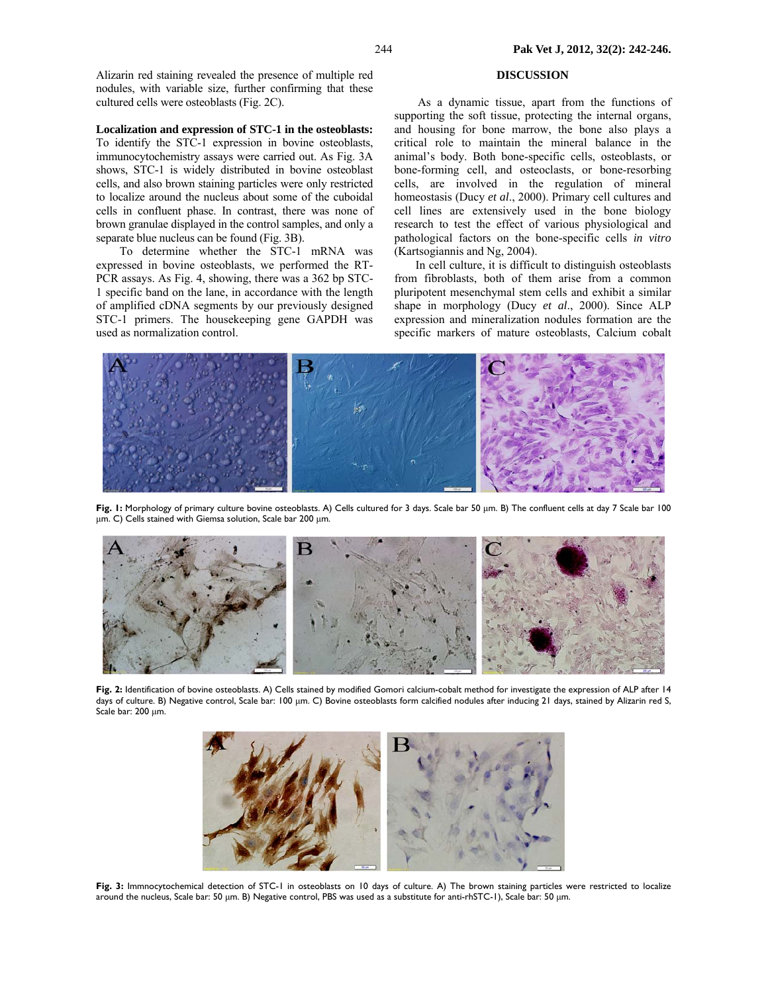Alizarin red staining revealed the presence of multiple red nodules, with variable size, further confirming that these cultured cells were osteoblasts (Fig. 2C).

**Localization and expression of STC-1 in the osteoblasts:** 

To identify the STC-1 expression in bovine osteoblasts, immunocytochemistry assays were carried out. As Fig. 3A shows, STC-1 is widely distributed in bovine osteoblast cells, and also brown staining particles were only restricted to localize around the nucleus about some of the cuboidal cells in confluent phase. In contrast, there was none of brown granulae displayed in the control samples, and only a separate blue nucleus can be found (Fig. 3B).

To determine whether the STC-1 mRNA was expressed in bovine osteoblasts, we performed the RT-PCR assays. As Fig. 4, showing, there was a 362 bp STC-1 specific band on the lane, in accordance with the length of amplified cDNA segments by our previously designed STC-1 primers. The housekeeping gene GAPDH was used as normalization control.

## **DISCUSSION**

As a dynamic tissue, apart from the functions of supporting the soft tissue, protecting the internal organs, and housing for bone marrow, the bone also plays a critical role to maintain the mineral balance in the animal's body. Both bone-specific cells, osteoblasts, or bone-forming cell, and osteoclasts, or bone-resorbing cells, are involved in the regulation of mineral homeostasis (Ducy *et al*., 2000). Primary cell cultures and cell lines are extensively used in the bone biology research to test the effect of various physiological and pathological factors on the bone-specific cells *in vitro* (Kartsogiannis and Ng, 2004).

In cell culture, it is difficult to distinguish osteoblasts from fibroblasts, both of them arise from a common pluripotent mesenchymal stem cells and exhibit a similar shape in morphology (Ducy *et al*., 2000). Since ALP expression and mineralization nodules formation are the specific markers of mature osteoblasts, Calcium cobalt



Fig. I: Morphology of primary culture bovine osteoblasts. A) Cells cultured for 3 days. Scale bar 50 µm. B) The confluent cells at day 7 Scale bar 100 µm. C) Cells stained with Giemsa solution, Scale bar 200 µm.



Fig. 2: Identification of bovine osteoblasts. A) Cells stained by modified Gomori calcium-cobalt method for investigate the expression of ALP after 14 days of culture. B) Negative control, Scale bar: 100 µm. C) Bovine osteoblasts form calcified nodules after inducing 21 days, stained by Alizarin red S, Scale bar: 200 µm.



**Fig. 3:** Immnocytochemical detection of STC-1 in osteoblasts on 10 days of culture. A) The brown staining particles were restricted to localize around the nucleus, Scale bar: 50 µm. B) Negative control, PBS was used as a substitute for anti-rhSTC-1), Scale bar: 50 µm.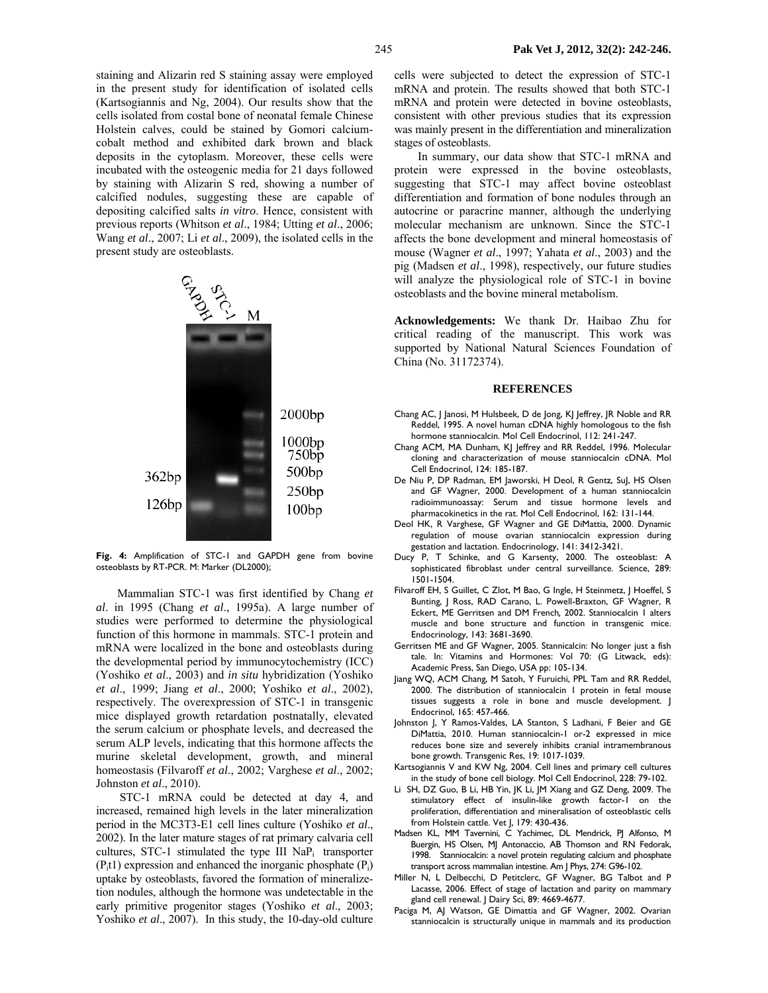staining and Alizarin red S staining assay were employed in the present study for identification of isolated cells (Kartsogiannis and Ng, 2004). Our results show that the cells isolated from costal bone of neonatal female Chinese Holstein calves, could be stained by Gomori calciumcobalt method and exhibited dark brown and black deposits in the cytoplasm. Moreover, these cells were incubated with the osteogenic media for 21 days followed by staining with Alizarin S red, showing a number of calcified nodules, suggesting these are capable of depositing calcified salts *in vitro*. Hence, consistent with previous reports (Whitson *et al*., 1984; Utting *et al*., 2006; Wang *et al*., 2007; Li *et al*., 2009), the isolated cells in the present study are osteoblasts.



**Fig. 4:** Amplification of STC-1 and GAPDH gene from bovine osteoblasts by RT-PCR. M: Marker (DL2000);

Mammalian STC-1 was first identified by Chang *et al*. in 1995 (Chang *et al*., 1995a). A large number of studies were performed to determine the physiological function of this hormone in mammals. STC-1 protein and mRNA were localized in the bone and osteoblasts during the developmental period by immunocytochemistry (ICC) (Yoshiko *et al*., 2003) and *in situ* hybridization (Yoshiko *et al*., 1999; Jiang *et al*., 2000; Yoshiko *et al*., 2002), respectively. The overexpression of STC-1 in transgenic mice displayed growth retardation postnatally, elevated the serum calcium or phosphate levels, and decreased the serum ALP levels, indicating that this hormone affects the murine skeletal development, growth, and mineral homeostasis (Filvaroff *et al*., 2002; Varghese *et al*., 2002; Johnston *et al*., 2010).

STC-1 mRNA could be detected at day 4, and increased, remained high levels in the later mineralization period in the MC3T3-E1 cell lines culture (Yoshiko *et al*., 2002). In the later mature stages of rat primary calvaria cell cultures, STC-1 stimulated the type III NaP<sub>i</sub> transporter  $(P_i t)$  expression and enhanced the inorganic phosphate  $(P_i)$ uptake by osteoblasts, favored the formation of mineralizetion nodules, although the hormone was undetectable in the early primitive progenitor stages (Yoshiko *et al*., 2003; Yoshiko *et al*., 2007). In this study, the 10-day-old culture

cells were subjected to detect the expression of STC-1 mRNA and protein. The results showed that both STC-1 mRNA and protein were detected in bovine osteoblasts, consistent with other previous studies that its expression was mainly present in the differentiation and mineralization stages of osteoblasts.

In summary, our data show that STC-1 mRNA and protein were expressed in the bovine osteoblasts, suggesting that STC-1 may affect bovine osteoblast differentiation and formation of bone nodules through an autocrine or paracrine manner, although the underlying molecular mechanism are unknown. Since the STC-1 affects the bone development and mineral homeostasis of mouse (Wagner *et al*., 1997; Yahata *et al*., 2003) and the pig (Madsen *et al*., 1998), respectively, our future studies will analyze the physiological role of STC-1 in bovine osteoblasts and the bovine mineral metabolism.

**Acknowledgements:** We thank Dr. Haibao Zhu for critical reading of the manuscript. This work was supported by National Natural Sciences Foundation of China (No. 31172374).

#### **REFERENCES**

- Chang AC, J Janosi, M Hulsbeek, D de Jong, KJ Jeffrey, JR Noble and RR Reddel, 1995. A novel human cDNA highly homologous to the fish hormone stanniocalcin. Mol Cell Endocrinol, 112: 241-247.
- Chang ACM, MA Dunham, KJ Jeffrey and RR Reddel, 1996. Molecular cloning and characterization of mouse stanniocalcin cDNA. Mol Cell Endocrinol, 124: 185-187.
- De Niu P, DP Radman, EM Jaworski, H Deol, R Gentz, Sul, HS Olsen and GF Wagner, 2000. Development of a human stanniocalcin radioimmunoassay: Serum and tissue hormone levels and pharmacokinetics in the rat. Mol Cell Endocrinol, 162: 131-144.
- Deol HK, R Varghese, GF Wagner and GE DiMattia, 2000. Dynamic regulation of mouse ovarian stanniocalcin expression during gestation and lactation. Endocrinology, 141: 3412-3421.
- Ducy P, T Schinke, and G Karsenty, 2000. The osteoblast: A sophisticated fibroblast under central surveillance. Science, 289: 1501-1504.
- Filvaroff EH, S Guillet, C Zlot, M Bao, G Ingle, H Steinmetz, J Hoeffel, S Bunting, J Ross, RAD Carano, L. Powell-Braxton, GF Wagner, R Eckert, ME Gerritsen and DM French*,* 2002. Stanniocalcin 1 alters muscle and bone structure and function in transgenic mice. Endocrinology, 143: 3681-3690.
- Gerritsen ME and GF Wagner, 2005. Stannicalcin: No longer just a fish tale. In: Vitamins and Hormones: Vol 70: (G Litwack, eds): Academic Press, San Diego, USA pp: 105-134.
- Jiang WQ, ACM Chang, M Satoh, Y Furuichi, PPL Tam and RR Reddel, 2000. The distribution of stanniocalcin 1 protein in fetal mouse tissues suggests a role in bone and muscle development. J Endocrinol, 165: 457-466.
- Johnston J, Y Ramos-Valdes, LA Stanton, S Ladhani, F Beier and GE DiMattia, 2010. Human stanniocalcin-1 or-2 expressed in mice reduces bone size and severely inhibits cranial intramembranous bone growth. Transgenic Res, 19: 1017-1039.
- Kartsogiannis V and KW Ng, 2004. Cell lines and primary cell cultures in the study of bone cell biology. Mol Cell Endocrinol, 228: 79-102.
- Li SH, DZ Guo, B Li, HB Yin, JK Li, JM Xiang and GZ Deng, 2009. The stimulatory effect of insulin-like growth factor-1 on the proliferation, differentiation and mineralisation of osteoblastic cells from Holstein cattle. Vet J, 179: 430-436.
- Madsen KL, MM Tavernini, C Yachimec, DL Mendrick, PJ Alfonso, M Buergin, HS Olsen, MJ Antonaccio, AB Thomson and RN Fedorak, 1998. Stanniocalcin: a novel protein regulating calcium and phosphate transport across mammalian intestine. Am J Phys, 274: G96-102.
- Miller N, L Delbecchi, D Petitclerc, GF Wagner, BG Talbot and P Lacasse, 2006. Effect of stage of lactation and parity on mammary gland cell renewal. J Dairy Sci, 89: 4669-4677.
- Paciga M, AJ Watson, GE Dimattia and GF Wagner, 2002. Ovarian stanniocalcin is structurally unique in mammals and its production